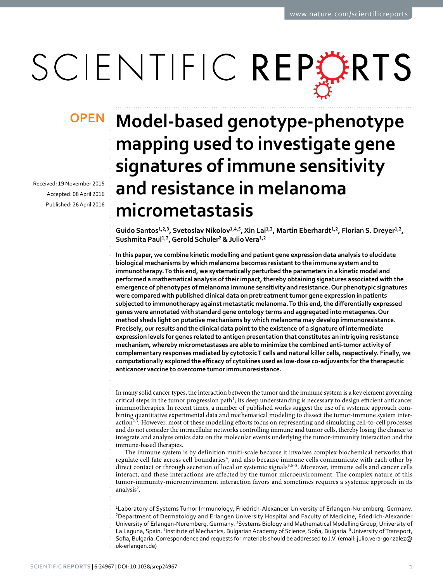# SCIENTIFIC REPORTS

Received: 19 November 2015 Accepted: 08 April 2016 Published: 26 April 2016

## **Model-based genotype-phenotype OPENmapping used to investigate gene signatures of immune sensitivity and resistance in melanoma micrometastasis**

Guido Santos<sup>1,2,3</sup>, Svetoslav Nikolov<sup>1,4,5</sup>, Xin Lai<sup>1,2</sup>, Martin Eberhardt<sup>1,2</sup>, Florian S. Dreyer<sup>1,2</sup>, **Sushmita Paul<sup>1</sup>,<sup>2</sup> , Gerold Schuler<sup>2</sup> & Julio Vera<sup>1</sup>,<sup>2</sup>**

**In this paper, we combine kinetic modelling and patient gene expression data analysis to elucidate biological mechanisms by which melanoma becomes resistant to the immune system and to immunotherapy. To this end, we systematically perturbed the parameters in a kinetic model and performed a mathematical analysis of their impact, thereby obtaining signatures associated with the emergence of phenotypes of melanoma immune sensitivity and resistance. Our phenotypic signatures were compared with published clinical data on pretreatment tumor gene expression in patients subjected to immunotherapy against metastatic melanoma. To this end, the differentially expressed genes were annotated with standard gene ontology terms and aggregated into metagenes. Our method sheds light on putative mechanisms by which melanoma may develop immunoresistance. Precisely, our results and the clinical data point to the existence of a signature of intermediate expression levels for genes related to antigen presentation that constitutes an intriguing resistance mechanism, whereby micrometastases are able to minimize the combined anti-tumor activity of complementary responses mediated by cytotoxic T cells and natural killer cells, respectively. Finally, we computationally explored the efficacy of cytokines used as low-dose co-adjuvants for the therapeutic anticancer vaccine to overcome tumor immunoresistance.**

In many solid cancer types, the interaction between the tumor and the immune system is a key element governing critical steps in the tumor progression path<sup>[1](#page-12-0)</sup>; its deep understanding is necessary to design efficient anticancer immunotherapies. In recent times, a number of published works suggest the use of a systemic approach combining quantitative experimental data and mathematical modeling to dissect the tumor-immune system inter-action<sup>[2](#page-12-1),[3](#page-12-2)</sup>. However, most of these modelling efforts focus on representing and simulating cell-to-cell processes and do not consider the intracellular networks controlling immune and tumor cells, thereby losing the chance to integrate and analyze omics data on the molecular events underlying the tumor-immunity interaction and the immune-based therapies.

The immune system is by definition multi-scale because it involves complex biochemical networks that regulate cell fate across cell boundaries<sup>[4](#page-12-3)</sup>, and also because immune cells communicate with each other by direct contact or through secretion of local or systemic signals<sup>[3,](#page-12-2)[6–8](#page-12-4)</sup>. Moreover, immune cells and cancer cells interact, and these interactions are affected by the tumor microenvironment. The complex nature of this tumor-immunity-microenvironment interaction favors and sometimes requires a systemic approach in its analysis<sup>[2](#page-12-1)</sup>.

<sup>1</sup>Laboratory of Systems Tumor Immunology, Friedrich-Alexander University of Erlangen-Nuremberg, Germany. <sup>2</sup>Department of Dermatology and Erlangen University Hospital and Faculty of Medicine, Friedrich-Alexander University of Erlangen-Nuremberg, Germany. <sup>3</sup>Systems Biology and Mathematical Modelling Group, University of La Laguna, Spain. <sup>4</sup>Institute of Mechanics, Bulgarian Academy of Science, Sofia, Bulgaria. <sup>5</sup>University of Transport, Sofia, Bulgaria. Correspondence and requests for materials should be addressed to J.V. (email: [julio.vera-gonzalez@](mailto:julio.vera-gonzalez@uk-erlangen.de) [uk-erlangen.de](mailto:julio.vera-gonzalez@uk-erlangen.de))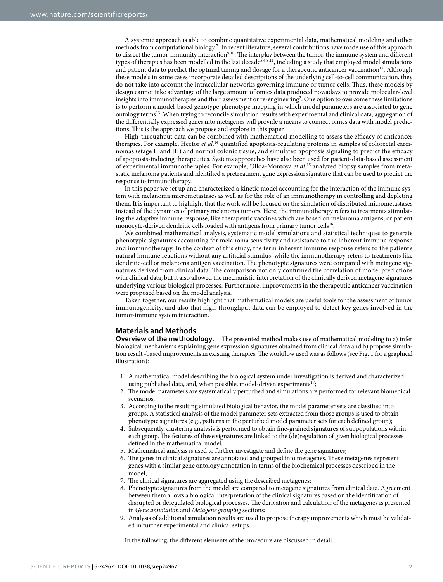A systemic approach is able to combine quantitative experimental data, mathematical modeling and other methods from computational biology [7](#page-12-5) . In recent literature, several contributions have made use of this approach to dissect the tumor-immunity interaction<sup>[9](#page-12-6),[10](#page-12-7)</sup>. The interplay between the tumor, the immune system and different types of therapies has been modelled in the last decade<sup>[5](#page-12-8)[,6](#page-12-4)[,8](#page-12-9),[11](#page-12-10)</sup>, including a study that employed model simulations and patient data to predict the optimal timing and dosage for a therapeutic anticancer vaccination<sup>[12](#page-12-11)</sup>. Although these models in some cases incorporate detailed descriptions of the underlying cell-to-cell communication, they do not take into account the intracellular networks governing immune or tumor cells. Thus, these models by design cannot take advantage of the large amount of omics data produced nowadays to provide molecular-level insights into immunotherapies and their assessment or re-engineering<sup>[2](#page-12-1)</sup>. One option to overcome these limitations is to perform a model-based genotype-phenotype mapping in which model parameters are associated to gene ontology terms[13](#page-12-12). When trying to reconcile simulation results with experimental and clinical data, aggregation of the differentially expressed genes into metagenes will provide a means to connect omics data with model predictions. This is the approach we propose and explore in this paper.

High-throughput data can be combined with mathematical modelling to assess the efficacy of anticancer therapies. For example, Hector et al.<sup>[14](#page-12-13)</sup> quantified apoptosis-regulating proteins in samples of colorectal carcinomas (stage II and III) and normal colonic tissue, and simulated apoptosis signaling to predict the efficacy of apoptosis-inducing therapeutics. Systems approaches have also been used for patient-data-based assessment of experimental immunotherapies. For example, Ulloa-Montoya et al.[15](#page-12-14) analyzed biopsy samples from metastatic melanoma patients and identified a pretreatment gene expression signature that can be used to predict the response to immunotherapy.

In this paper we set up and characterized a kinetic model accounting for the interaction of the immune system with melanoma micrometastases as well as for the role of an immunotherapy in controlling and depleting them. It is important to highlight that the work will be focused on the simulation of distributed micrometastases instead of the dynamics of primary melanoma tumors. Here, the immunotherapy refers to treatments stimulating the adaptive immune response, like therapeutic vaccines which are based on melanoma antigens, or patient monocyte-derived dendritic cells loaded with antigens from primary tumor cells $^{16}$  $^{16}$  $^{16}$ .

We combined mathematical analysis, systematic model simulations and statistical techniques to generate phenotypic signatures accounting for melanoma sensitivity and resistance to the inherent immune response and immunotherapy. In the context of this study, the term inherent immune response refers to the patient's natural immune reactions without any artificial stimulus, while the immunotherapy refers to treatments like dendritic-cell or melanoma antigen vaccination. The phenotypic signatures were compared with metagene signatures derived from clinical data. The comparison not only confirmed the correlation of model predictions with clinical data, but it also allowed the mechanistic interpretation of the clinically derived metagene signatures underlying various biological processes. Furthermore, improvements in the therapeutic anticancer vaccination were proposed based on the model analysis.

Taken together, our results highlight that mathematical models are useful tools for the assessment of tumor immunogenicity, and also that high-throughput data can be employed to detect key genes involved in the tumor-immune system interaction.

### **Materials and Methods**

**Overview of the methodology.** The presented method makes use of mathematical modeling to a) infer biological mechanisms explaining gene expression signatures obtained from clinical data and b) propose simulation result -based improvements in existing therapies. The workflow used was as follows (see [Fig. 1](#page-2-0) for a graphical illustration):

- 1. A mathematical model describing the biological system under investigation is derived and characterized using published data, and, when possible, model-driven experiments<sup>[17](#page-12-16)</sup>;
- 2. The model parameters are systematically perturbed and simulations are performed for relevant biomedical scenarios;
- 3. According to the resulting simulated biological behavior, the model parameter sets are classified into groups. A statistical analysis of the model parameter sets extracted from those groups is used to obtain phenotypic signatures (e.g., patterns in the perturbed model parameter sets for each defined group);
- 4. Subsequently, clustering analysis is performed to obtain fine-grained signatures of subpopulations within each group. The features of these signatures are linked to the (de)regulation of given biological processes defined in the mathematical model;
- 5. Mathematical analysis is used to further investigate and define the gene signatures;
- 6. The genes in clinical signatures are annotated and grouped into metagenes. These metagenes represent genes with a similar gene ontology annotation in terms of the biochemical processes described in the model;
- 7. The clinical signatures are aggregated using the described metagenes;
- 8. Phenotypic signatures from the model are compared to metagene signatures from clinical data. Agreement between them allows a biological interpretation of the clinical signatures based on the identification of disrupted or deregulated biological processes. The derivation and calculation of the metagenes is presented in Gene annotation and Metagene grouping sections;
- 9. Analysis of additional simulation results are used to propose therapy improvements which must be validated in further experimental and clinical setups.

In the following, the different elements of the procedure are discussed in detail.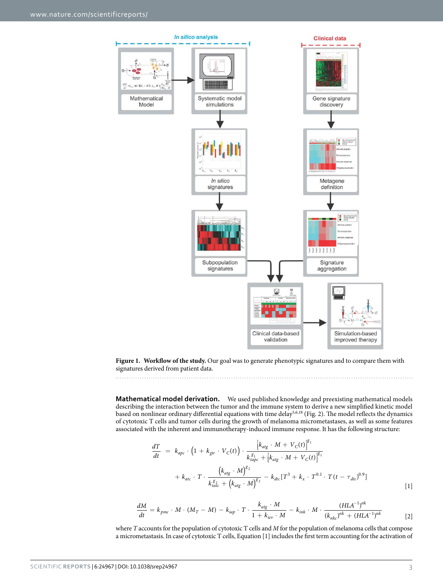

<span id="page-2-0"></span>**Figure 1. Workflow of the study.** Our goal was to generate phenotypic signatures and to compare them with signatures derived from patient data.

**Mathematical model derivation.** We used published knowledge and preexisting mathematical models describing the interaction between the tumor and the immune system to derive a new simplified kinetic model based on nonlinear ordinary differential equations with time delay[5](#page-12-8)[,6](#page-12-4)[,18](#page-12-17) [\(Fig. 2\)](#page-3-0). The model reflects the dynamics of cytotoxic T cells and tumor cells during the growth of melanoma micrometastases, as well as some features associated with the inherent and immunotherapy-induced immune response. It has the following structure:

$$
\frac{dT}{dt} = k_{apc} \cdot \left(1 + k_{gir} \cdot V_C(t)\right) \cdot \frac{\left[k_{atg} \cdot M + V_C(t)\right]^{g_1}}{k_{apc}^{g_1} + \left[k_{atg} \cdot M + V_C(t)\right]^{g_1}} + k_{atc} \cdot T \cdot \frac{\left(k_{atg} \cdot M\right)^{g_2}}{k_{tate}^{g_2} + \left(k_{atg} \cdot M\right)^{g_2}} - k_{dtc} \left[T^3 + k_x \cdot T^{0.1} \cdot T(t - \tau_{dtc})^{0.9}\right]
$$
\n[1]

$$
\frac{dM}{dt} = k_{pmc} \cdot M \cdot (M_T - M) - k_{iap} \cdot T \cdot \frac{k_{atg} \cdot M}{1 + k_{iev} \cdot M} - k_{ink} \cdot M \cdot \frac{(HLA^{-1})^{nk}}{(k_{nkc})^{nk} + (HLA^{-1})^{nk}}
$$
\n[2]

where T accounts for the population of cytotoxic T cells and M for the population of melanoma cells that compose a micrometastasis. In case of cytotoxic T cells, Equation [1] includes the first term accounting for the activation of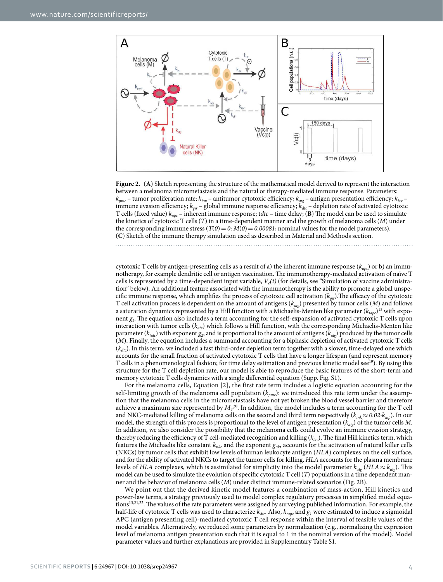

<span id="page-3-0"></span>**Figure 2.** (**A**) Sketch representing the structure of the mathematical model derived to represent the interaction between a melanoma micrometastasis and the natural or therapy-mediated immune response. Parameters:  $k_{pmc}$  – tumor proliferation rate;  $k_{iap}$  – antitumor cytotoxic efficiency;  $k_{ag}$  – antigen presentation efficiency;  $k_{iev}$  – immune evasion efficiency;  $k_{eir}$  – global immune response efficiency;  $k_{dic}$  – depletion rate of activated cytotoxic T cells (fixed value) kapc – inherent immune response; tdtc – time delay; (**B**) The model can be used to simulate the kinetics of cytotoxic T cells (T) in a time-dependent manner and the growth of melanoma cells (M) under the corresponding immune stress ( $T(0) = 0$ ;  $M(0) = 0.00081$ ; nominal values for the model parameters). (**C**) Sketch of the immune therapy simulation used as described in Material and Methods section.

cytotoxic T cells by antigen-presenting cells as a result of a) the inherent immune response ( $k_{abc}$ ) or b) an immunotherapy, for example dendritic cell or antigen vaccination. The immunotherapy-mediated activation of naïve T cells is represented by a time-dependent input variable,  $V_c(t)$  (for details, see "Simulation of vaccine administration" below). An additional feature associated with the immunotherapy is the ability to promote a global unspecific immune response, which amplifies the process of cytotoxic cell activation  $(k_{\text{vir}})$ . The efficacy of the cytotoxic T cell activation process is dependent on the amount of antigens ( $k_{\alpha l}$ ) presented by tumor cells (*M*) and follows a saturation dynamics represented by a Hill function with a Michaelis-Menten like parameter  $(k_{tapc})^{13}$  $(k_{tapc})^{13}$  $(k_{tapc})^{13}$  with exponent  $g_l$ . The equation also includes a term accounting for the self-expansion of activated cytotoxic  $T$  cells upon interaction with tumor cells ( $k_{atc}$ ) which follows a Hill function, with the corresponding Michaelis-Menten like parameter ( $k_{\textit{tate}}$ ) with exponent  $g_2$ , and is proportional to the amount of antigens ( $k_{\textit{atg}}$ ) produced by the tumor cells (M). Finally, the equation includes a summand accounting for a biphasic depletion of activated cytotoxic T cells  $(k_{\text{dtc}})$ . In this term, we included a fast third-order depletion term together with a slower, time-delayed one which accounts for the small fraction of activated cytotoxic T cells that have a longer lifespan (and represent memory T cells in a phenomenological fashion; for time delay estimation and previous kinetic model see<sup>[19](#page-12-18)</sup>). By using this structure for the T cell depletion rate, our model is able to reproduce the basic features of the short-term and memory cytotoxic T cells dynamics with a single differential equation (Supp. Fig. S1).

For the melanoma cells, Equation [2], the first rate term includes a logistic equation accounting for the self-limiting growth of the melanoma cell population ( $k_{pmc}$ ): we introduced this rate term under the assumption that the melanoma cells in the micrometastasis have not yet broken the blood vessel barrier and therefore achieve a maximum size represented by  $M_T^{20}$  $M_T^{20}$  $M_T^{20}$ . In addition, the model includes a term accounting for the T cell and NKC-mediated killing of melanoma cells on the second and third term respectively ( $k_{ink} \approx 0.02 \cdot k_{iap}$ ). In our model, the strength of this process is proportional to the level of antigen presentation ( $k_{\text{atg}}$ ) of the tumor cells M. In addition, we also consider the possibility that the melanoma cells could evolve an immune evasion strategy, thereby reducing the efficiency of T cell-mediated recognition and killing  $(k_{iv})$ . The final Hill kinetics term, which features the Michaelis like constant  $k_{nkc}$  and the exponent  $g_{nk}$ , accounts for the activation of natural killer cells (NKCs) by tumor cells that exhibit low levels of human leukocyte antigen (HLA) complexes on the cell surface, and for the ability of activated NKCs to target the tumor cells for killing. HLA accounts for the plasma membrane levels of HLA complexes, which is assimilated for simplicity into the model parameter  $k_{\text{at}}$  (HLA  $\approx$   $k_{\text{at}}$ ). This model can be used to simulate the evolution of specific cytotoxic T cell (T) populations in a time dependent manner and the behavior of melanoma cells (M) under distinct immune-related scenarios [\(Fig. 2B](#page-3-0)).

We point out that the derived kinetic model features a combination of mass-action, Hill kinetics and power-law terms, a strategy previously used to model complex regulatory processes in simplified model equa-tions<sup>[13](#page-12-12)[,21](#page-12-20)[,22](#page-12-21)</sup>. The values of the rate parameters were assigned by surveying published information. For example, the half-life of cytotoxic T cells was used to characterize  $k_{dtc}$ . Also,  $k_{tapc}$  and  $g_l$  were estimated to induce a sigmoidal APC (antigen presenting cell)-mediated cytotoxic T cell response within the interval of feasible values of the model variables. Alternatively, we reduced some parameters by normalization (e.g., normalizing the expression level of melanoma antigen presentation such that it is equal to 1 in the nominal version of the model). Model parameter values and further explanations are provided in Supplementary Table S1.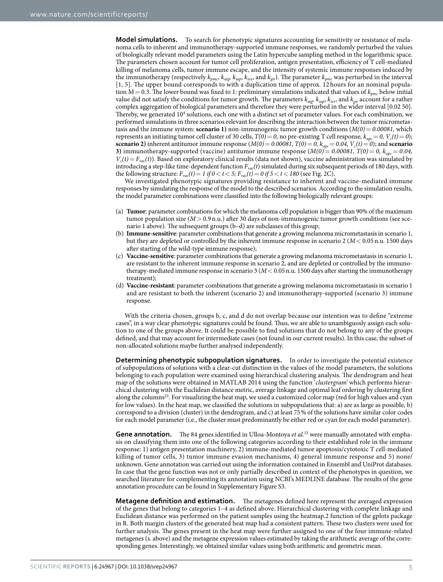**Model simulations.** To search for phenotypic signatures accounting for sensitivity or resistance of melanoma cells to inherent and immunotherapy-supported immune responses, we randomly perturbed the values of biologically relevant model parameters using the Latin hypercube sampling method in the logarithmic space. The parameters chosen account for tumor cell proliferation, antigen presentation, efficiency of T cell-mediated killing of melanoma cells, tumor immune escape, and the intensity of systemic immune responses induced by the immunotherapy (respectively  $k_{pmc}$ ,  $k_{atp}$ ,  $k_{iev}$ , and  $k_{gir}$ ). The parameter  $k_{pmc}$  was perturbed in the interval [1, 5]. The upper bound corresponds to with a duplication time of approx. 12 hours for an nominal population  $M = 0.3$ . The lower bound was fixed to 1: preliminary simulations indicated that values of  $k_{pmc}$  below initial value did not satisfy the conditions for tumor growth. The parameters  $k_{\alpha\alpha}$ ,  $k_{\alpha\rho}$ ,  $k_{\alpha\rho}$ , and  $k_{\alpha\gamma}$  account for a rather complex aggregation of biological parameters and therefore they were perturbed in the wider interval [0.02 50]. Thereby, we generated 10<sup>4</sup> solutions, each one with a distinct set of parameter values. For each combination, we performed simulations in three scenarios relevant for describing the interaction between the tumor micrometastasis and the immune system: **scenario 1**) non-immunogenic tumor growth conditions  $(M(0) = 0.00081$ , which represents an initiating tumor cell cluster of 30 cells,  $T(0) = 0$ , no pre-existing T cell response,  $k_{apc} = 0$ ,  $V_c(t) = 0$ ); **scenario 2)** inherent antitumor immune response ( $M(0) = 0.00081$ ,  $T(0) = 0$ ,  $k_{apc} = 0.04$ ,  $V_c(t) = 0$ ); and **scenario 3)** immunotherapy-supported (vaccine) antitumor immune response  $(M(0) = 0.00081, T(0) = 0, k_{abc} = 0.04,$  $V_c(t) = F_{vac}(t)$ ). Based on exploratory clinical results (data not shown), vaccine administration was simulated by introducing a step-like time-dependent function  $F_{vac}(t)$  simulated during six subsequent periods of 180 days, with the following structure:  $F_{\text{vac}}(t) = 1$  if  $0 < t < 5$ ;  $F_{\text{vac}}(t) = 0$  if  $5 < t < 180$  (see [Fig. 2C](#page-3-0)).

We investigated phenotypic signatures providing resistance to inherent and vaccine-mediated immune responses by simulating the response of the model to the described scenarios. According to the simulation results, the model parameter combinations were classified into the following biologically relevant groups:

- (a) **Tumor**: parameter combinations for which the melanoma cell population is bigger than 90% of the maximum tumor population size  $(M> 0.9$  n.u.) after 30 days of non-immunogenic tumor growth conditions (see scenario 1 above). The subsequent groups (b–d) are subclasses of this group;
- (b) **Immune-sensitive**: parameter combinations that generate a growing melanoma micrometastasis in scenario 1, but they are depleted or controlled by the inherent immune response in scenario 2 (M< 0.05 n.u. 1500 days after starting of the wild-type immune response);
- (c) **Vaccine-sensitive**: parameter combinations that generate a growing melanoma micrometastasis in scenario 1, are resistant to the inherent immune response in scenario 2, and are depleted or controlled by the immunotherapy-mediated immune response in scenario 3 ( $M < 0.05$  n.u. 1500 days after starting the immunotherapy treatment);
- (d) **Vaccine-resistant**: parameter combinations that generate a growing melanoma micrometastasis in scenario 1 and are resistant to both the inherent (scenario 2) and immunotherapy-supported (scenario 3) immune response.

With the criteria chosen, groups b, c, and d do not overlap because our intention was to define "extreme cases", in a way clear phenotypic signatures could be found. Thus, we are able to unambiguosly assign each solution to one of the groups above. It could be possible to find solutions that do not belong to any of the groups defined, and that may account for intermediate cases (not found in our current results). In this case, the subset of non-allocated solutions maybe further analysed independently.

**Determining phenotypic subpopulation signatures.** In order to investigate the potential existence of subpopulations of solutions with a clear-cut distinction in the values of the model parameters, the solutions belonging to each population were examined using hierarchical clustering analysis. The dendrogram and heat map of the solutions were obtained in MATLAB 2014 using the function 'clustergram' which performs hierarchical clustering with the Euclidean distance metric, average linkage and optimal leaf ordering by clustering first along the columns[23](#page-12-22). For visualizing the heat map, we used a customized color map (red for high values and cyan for low values). In the heat map, we classified the solutions in subpopulations that: a) are as large as possible, b) correspond to a division (cluster) in the dendrogram, and c) at least 75 % of the solutions have similar color codes for each model parameter (i.e., the cluster must predominantly be either red or cyan for each model parameter).

**Gene annotation.** The 84 genes identified in Ulloa-Montoya et al.<sup>[15](#page-12-14)</sup> were manually annotated with emphasis on classifying them into one of the following categories according to their established role in the immune response: 1) antigen presentation machinery, 2) immune-mediated tumor apoptosis/cytotoxic T cell-mediated killing of tumor cells, 3) tumor immune evasion mechanisms, 4) general immune response and 5) none/ unknown. Gene annotation was carried out using the information contained in Ensembl and UniProt databases. In case that the gene function was not or only partially described in context of the phenotypes in question, we searched literature for complementing its annotation using NCBI's MEDLINE database. The results of the gene annotation procedure can be found in Supplementary Figure S3.

**Metagene definition and estimation.** The metagenes defined here represent the averaged expression of the genes that belong to categories 1–4 as defined above. Hierarchical clustering with complete linkage and Euclidean distance was performed on the patient samples using the heatmap.2 function of the gplots package in R. Both margin clusters of the generated heat map had a consistent pattern. These two clusters were used for further analysis. The genes present in the heat map were further assigned to one of the four immune-related metagenes (s. above) and the metagene expression values estimated by taking the arithmetic average of the corresponding genes. Interestingly, we obtained similar values using both arithmetic and geometric mean.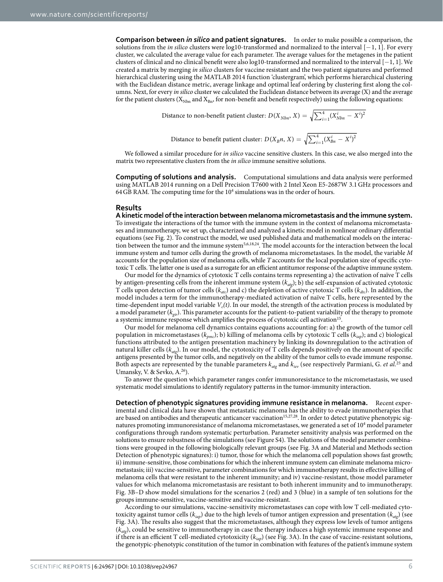**Comparison between** *in silico* **and patient signatures.** In order to make possible a comparison, the solutions from the *in silico* clusters were log10-transformed and normalized to the interval [−1, 1]. For every cluster, we calculated the average value for each parameter. The average values for the metagenes in the patient clusters of clinical and no clinical benefit were also log10-transformed and normalized to the interval [−1, 1]. We created a matrix by merging in silico clusters for vaccine resistant and the two patient signatures and performed hierarchical clustering using the MATLAB 2014 function 'clustergram', which performs hierarchical clustering with the Euclidean distance metric, average linkage and optimal leaf ordering by clustering first along the columns. Next, for every in silico cluster we calculated the Euclidean distance between its average (X) and the average for the patient clusters ( $X_{Nbn}$  and  $X_{Bn}$ , for non-benefit and benefit respectively) using the following equations:

Distance to non-benefit patient cluster: 
$$
D(X_{Nbn}, X) = \sqrt{\sum_{i=1}^{4} (X_{Nbn}^i - X^i)^2}
$$

Distance to benefit patient cluster: 
$$
D(X_B n, X) = \sqrt{\sum_{i=1}^{4} (X_{Bn}^i - X^i)^2}
$$

We followed a similar procedure for in silico vaccine sensitive clusters. In this case, we also merged into the matrix two representative clusters from the in silico immune sensitive solutions.

**Computing of solutions and analysis.** Computational simulations and data analysis were performed using MATLAB 2014 running on a Dell Precision T7600 with 2 Intel Xeon E5-2687W 3.1 GHz processors and 64 GB RAM. The computing time for the  $10^4$  simulations was in the order of hours.

#### **Results**

**A kinetic model of the interaction between melanoma micrometastasis and the immune system.**  To investigate the interactions of the tumor with the immune system in the context of melanoma micrometastases and immunotherapy, we set up, characterized and analyzed a kinetic model in nonlinear ordinary differential equations (see [Fig. 2](#page-3-0)). To construct the model, we used published data and mathematical models on the interaction between the tumor and the immune system[5](#page-12-8)[,6](#page-12-4),[18](#page-12-17),[24](#page-12-23). The model accounts for the interaction between the local immune system and tumor cells during the growth of melanoma micrometastases. In the model, the variable M accounts for the population size of melanoma cells, while T accounts for the local population size of specific cytotoxic T cells. The latter one is used as a surrogate for an efficient antitumor response of the adaptive immune system.

Our model for the dynamics of cytotoxic T cells contains terms representing a) the activation of naïve T cells by antigen-presenting cells from the inherent immune system  $(k_{\text{atg}})$ ; b) the self-expansion of activated cytotoxic T cells upon detection of tumor cells ( $k_{\text{atc}}$ ) and c) the depletion of active cytotoxic T cells ( $k_{\text{dtc}}$ ). In addition, the model includes a term for the immunotherapy-mediated activation of naïve T cells, here represented by the time-dependent input model variable  $V_c(t)$ . In our model, the strength of the activation process is modulated by a model parameter  $(k_{gir})$ . This parameter accounts for the patient-to-patient variability of the therapy to promote a systemic immune response which amplifies the process of cytotoxic cell activation<sup>[15](#page-12-14)</sup>.

Our model for melanoma cell dynamics contains equations accounting for: a) the growth of the tumor cell population in micrometastases ( $k_{pmc}$ ); b) killing of melanoma cells by cytotoxic T cells ( $k_{iap}$ ); and c) biological functions attributed to the antigen presentation machinery by linking its downregulation to the activation of natural killer cells ( $k_{\text{atg}}$ ). In our model, the cytotoxicity of T cells depends positively on the amount of specific antigens presented by the tumor cells, and negatively on the ability of the tumor cells to evade immune response. Both aspects are represented by the tunable parameters  $k_{\text{arg}}$  and  $k_{\text{lev}}$  (see respectively Parmiani, G. *et al.*<sup>[25](#page-12-24)</sup> and Umansky, V. & Sevko, A.<sup>[26](#page-12-25)</sup>).

To answer the question which parameter ranges confer immunoresistance to the micrometastasis, we used systematic model simulations to identify regulatory patterns in the tumor-immunity interaction.

**Detection of phenotypic signatures providing immune resistance in melanoma.** Recent experimental and clinical data have shown that metastatic melanoma has the ability to evade immunotherapies that are based on antibodies and therapeutic anticancer vaccination<sup>[15](#page-12-14),[27](#page-12-26)[,28](#page-12-27)</sup>. In order to detect putative phenotypic signatures promoting immunoresistance of melanoma micrometastases, we generated a set of 10<sup>4</sup> model parameter configurations through random systematic perturbation. Parameter sensitivity analysis was performed on the solutions to ensure robustness of the simulations (see Figure S4). The solutions of the model parameter combinations were grouped in the following biologically relevant groups (see [Fig. 3A](#page-6-0) and Material and Methods section Detection of phenotypic signatures): i) tumor, those for which the melanoma cell population shows fast growth; ii) immune-sensitive, those combinations for which the inherent immune system can eliminate melanoma micrometastasis; iii) vaccine-sensitive, parameter combinations for which immunotherapy results in effective killing of melanoma cells that were resistant to the inherent immunity; and iv) vaccine-resistant, those model parameter values for which melanoma micrometastasis are resistant to both inherent immunity and to immunotherapy. [Fig. 3B–D](#page-6-0) show model simulations for the scenarios 2 (red) and 3 (blue) in a sample of ten solutions for the groups immune-sensitive, vaccine-sensitive and vaccine-resistant.

According to our simulations, vaccine-sensitivity micrometastases can cope with low T cell-mediated cytotoxicity against tumor cells ( $k_{iap}$ ) due to the high levels of tumor antigen expression and presentation ( $k_{ate}$ ) (see [Fig. 3A](#page-6-0)). The results also suggest that the micrometastases, although they express low levels of tumor antigens  $(k_{\text{atp}})$ , could be sensitive to immunotherapy in case the therapy induces a high systemic immune response and if there is an efficient T cell-mediated cytotoxicity ( $k_{iap}$ ) (see [Fig. 3A](#page-6-0)). In the case of vaccine-resistant solutions, the genotypic-phenotypic constitution of the tumor in combination with features of the patient's immune system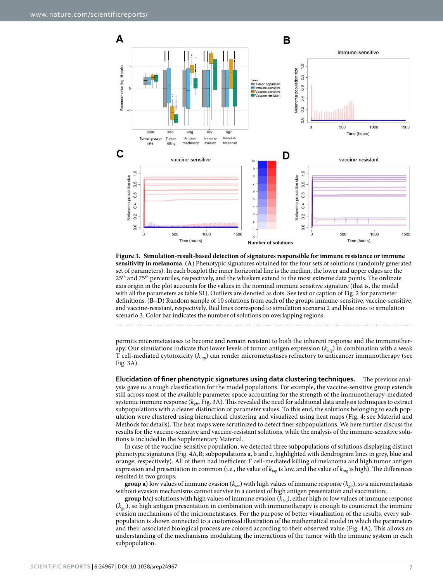

<span id="page-6-0"></span>**Figure 3. Simulation-result-based detection of signatures responsible for immune resistance or immune sensitivity in melanoma**. (**A**) Phenotypic signatures obtained for the four sets of solutions (randomly generated set of parameters). In each boxplot the inner horizontal line is the median, the lower and upper edges are the 25<sup>th</sup> and 75<sup>th</sup> percentiles, respectively, and the whiskers extend to the most extreme data points. The ordinate axis origin in the plot accounts for the values in the nominal immune sensitive signature (that is, the model with all the parameters as table S1). Outliers are denoted as dots. See text or caption of [Fig. 2](#page-3-0) for parameter definitions. (**B–D**) Random **s**ample of 10 solutions from each of the groups immune-sensitive, vaccine-sensitive, and vaccine-resistant, respectively. Red lines correspond to simulation scenario 2 and blue ones to simulation scenario 3. Color bar indicates the number of solutions on overlapping regions.

permits micrometastases to become and remain resistant to both the inherent response and the immunotherapy. Our simulations indicate that lower levels of tumor antigen expression  $(k_{\text{at}})$  in combination with a weak T cell-mediated cytotoxicity ( $k_{iap}$ ) can render micrometastases refractory to anticancer immunotherapy (see [Fig. 3A](#page-6-0)).

**Elucidation of finer phenotypic signatures using data clustering techniques.** The previous analysis gave us a rough classification for the model populations. For example, the vaccine-sensitive group extends still across most of the available parameter space accounting for the strength of the immunotherapy-mediated systemic immune response ( $k_{gin}$ , [Fig. 3A](#page-6-0)). This revealed the need for additional data analysis techniques to extract subpopulations with a clearer distinction of parameter values. To this end, the solutions belonging to each population were clustered using hierarchical clustering and visualized using heat maps [\(Fig. 4](#page-7-0); see Material and Methods for details). The heat maps were scrutinized to detect finer subpopulations. We here further discuss the results for the vaccine-sensitive and vaccine-resistant solutions, while the analysis of the immune-sensitive solutions is included in the Supplementary Material.

In case of the vaccine-sensitive population, we detected three subpopulations of solutions displaying distinct phenotypic signatures [\(Fig. 4A,B](#page-7-0); subpopulations a, b and c, highlighted with dendrogram lines in grey, blue and orange, respectively). All of them had inefficient T cell-mediated killing of melanoma and high tumor antigen expression and presentation in common (i.e., the value of  $k_{iap}$  is low, and the value of  $k_{\alpha q}$  is high). The differences resulted in two groups:

**group a)** low values of immune evasion ( $k_{iv}$ ) with high values of immune response ( $k_{gir}$ ), so a micrometastasis without evasion mechanisms cannot survive in a context of high antigen presentation and vaccination;

**group b/c)** solutions with high values of immune evasion  $(k_{iev})$ , either high or low values of immune response  $(k_{eir})$ , so high antigen presentation in combination with immunotherapy is enough to counteract the immune evasion mechanisms of the micrometastases. For the purpose of better visualization of the results, every subpopulation is shown connected to a customized illustration of the mathematical model in which the parameters and their associated biological process are colored according to their observed value ([Fig. 4A](#page-7-0)). This allows an understanding of the mechanisms modulating the interactions of the tumor with the immune system in each subpopulation.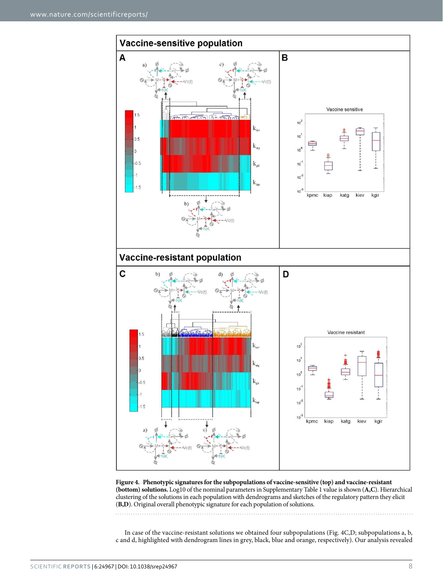

<span id="page-7-0"></span>**Figure 4. Phenotypic signatures for the subpopulations of vaccine-sensitive (top) and vaccine-resistant (bottom) solutions.** Log10 of the nominal parameters in Supplementary Table 1 value is shown (**A,C**). Hierarchical clustering of the solutions in each population with dendrograms and sketches of the regulatory pattern they elicit (**B,D**). Original overall phenotypic signature for each population of solutions.

In case of the vaccine-resistant solutions we obtained four subpopulations [\(Fig. 4C,](#page-7-0)D; subpopulations a, b, c and d, highlighted with dendrogram lines in grey, black, blue and orange, respectively). Our analysis revealed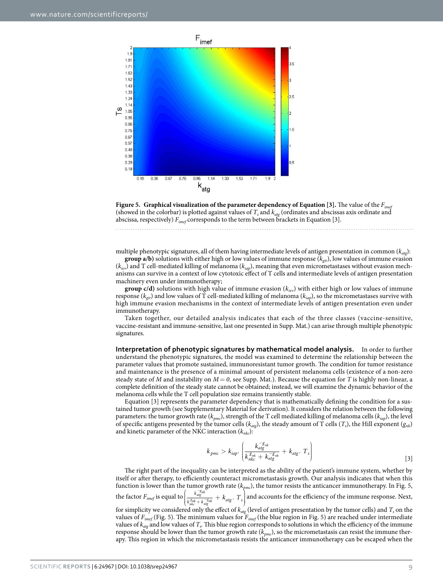

<span id="page-8-0"></span>

multiple phenotypic signatures, all of them having intermediate levels of antigen presentation in common  $(k_{ab})$ :

**group a/b)** solutions with either high or low values of immune response  $(k_{\text{gir}})$ , low values of immune evasion  $(k_{iev})$  and T cell-mediated killing of melanoma  $(k_{iev})$ , meaning that even micrometastases without evasion mechanisms can survive in a context of low cytotoxic effect of T cells and intermediate levels of antigen presentation machinery even under immunotherapy;

**group c/d)** solutions with high value of immune evasion ( $k_{\text{iev}}$ ) with either high or low values of immune response ( $k_{vir}$ ) and low values of T cell-mediated killing of melanoma ( $k_{ian}$ ), so the micrometastases survive with high immune evasion mechanisms in the context of intermediate levels of antigen presentation even under immunotherapy.

Taken together, our detailed analysis indicates that each of the three classes (vaccine-sensitive, vaccine-resistant and immune-sensitive, last one presented in Supp. Mat.) can arise through multiple phenotypic signatures.

**Interpretation of phenotypic signatures by mathematical model analysis.** In order to further understand the phenotypic signatures, the model was examined to determine the relationship between the parameter values that promote sustained, immunoresistant tumor growth. The condition for tumor resistance and maintenance is the presence of a minimal amount of persistent melanoma cells (existence of a non-zero steady state of M and instability on  $M = 0$ , see Supp. Mat.). Because the equation for T is highly non-linear, a complete definition of the steady state cannot be obtained; instead, we will examine the dynamic behavior of the melanoma cells while the T cell population size remains transiently stable.

Equation [3] represents the parameter dependency that is mathematically defining the condition for a sustained tumor growth (see Supplementary Material for derivation). It considers the relation between the following parameters: the tumor growth rate ( $k_{pmc}$ ), strength of the T cell mediated killing of melanoma cells ( $k_{iap}$ ), the level of specific antigens presented by the tumor cells ( $k_{alg}$ ), the steady amount of T cells (T<sub>s</sub>), the Hill exponent ( $g_{nk}$ ) and kinetic parameter of the NKC interaction  $(k_{nkc})$ :

$$
k_{pm} > k_{iap} \cdot \left(\frac{k_{nqg}^{-g_{nk}}}{k_{nk}^{g_{nk}} + k_{nqg}^{-g_{nk}}} + k_{atg} \cdot T_s\right) \tag{3}
$$

The right part of the inequality can be interpreted as the ability of the patient's immune system, whether by itself or after therapy, to efficiently counteract micrometastasis growth. Our analysis indicates that when this function is lower than the tumor growth rate ( $k_{pmc}$ ), the tumor resists the anticancer immunotherapy. In [Fig. 5,](#page-8-0) the factor  $F_{\text{imef}}$  is equal to  $\Bigg($  $\left( \frac{k_{\textit{atg}}^{-g_{\textit{nk}}}}{k_{\textit{nk}}^{g_{\textit{nk}}} + k_{\textit{atg}}^{-g_{\textit{nk}}}} + k_{\textit{atg}}. \; T_s \right)$ J  $\frac{k\frac{-\mathcal{S}_{nk}}{\mathcal{S}_{nk}}}{\frac{k}{\mathcal{S}_{nk}}+k\frac{-\mathcal{S}_{nk}}{\mathcal{S}_{nk}}}+k_{atg}. \ \ T_{s}\Biggr)$  $\frac{k_{\textit{atg}}^{-g_{\textit{nk}}}}{k_{\textit{nk}}^{g_{\textit{nk}}} + k_{\textit{atg}}^{-g_{\textit{nk}}}} + k_{\textit{atg}}$ .  $T_s$  $\frac{R_{\text{avg}}}{R_{\text{g}}R_{\text{g}} + k_{\text{avg}}} + k_{\text{arg}}$ .  $T_s$  and accounts for the efficiency of the immune response. Next, for simplicity we considered only the effect of  $k_{alg}$  (level of antigen presentation by the tumor cells) and  $T_s$  on the values of  $F_{imef}$  ([Fig. 5\)](#page-8-0). The minimum values for  $F_{imef}$  (the blue region in [Fig. 5](#page-8-0)) are reached under intermediate values of  $k_{\text{alg}}$  and low values of  $T_s$ . This blue region corresponds to solutions in which the efficiency of the immune response should be lower than the tumor growth rate ( $k_{pmc}$ ), so the micrometastasis can resist the immune therapy. This region in which the micrometastasis resists the anticancer immunotherapy can be escaped when the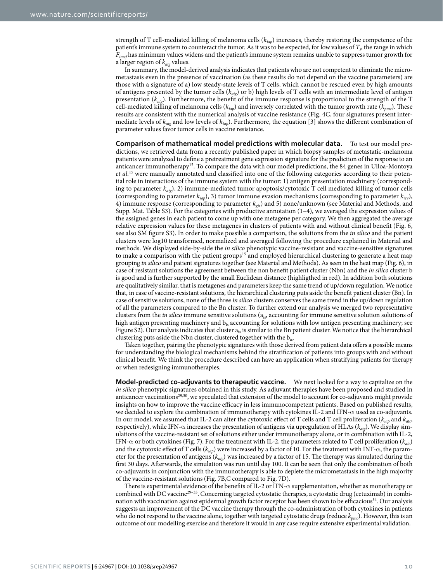strength of T cell-mediated killing of melanoma cells ( $k_{ian}$ ) increases, thereby restoring the competence of the patient's immune system to counteract the tumor. As it was to be expected, for low values of  $T_s$ , the range in which  $F_{\text{imef}}$  has minimum values widens and the patient's immune system remains unable to suppress tumor growth for a larger region of  $k_{\text{atg}}$  values.

In summary, the model-derived analysis indicates that patients who are not competent to eliminate the micrometastasis even in the presence of vaccination (as these results do not depend on the vaccine parameters) are those with a signature of a) low steady-state levels of T cells, which cannot be rescued even by high amounts of antigens presented by the tumor cells ( $k_{\text{ate}}$ ) or b) high levels of T cells with an intermediate level of antigen presentation ( $k_{\alpha\nu}$ ). Furthermore, the benefit of the immune response is proportional to the strength of the T cell-mediated killing of melanoma cells ( $k_{iap}$ ) and inversely correlated with the tumor growth rate ( $k_{pmc}$ ). These results are consistent with the numerical analysis of vaccine resistance [\(Fig. 4C,](#page-7-0) four signatures present intermediate levels of  $k_{\text{atg}}$  and low levels of  $k_{\text{iap}}$ ). Furthermore, the equation [3] shows the different combination of parameter values favor tumor cells in vaccine resistance.

**Comparison of mathematical model predictions with molecular data.** To test our model predictions, we retrieved data from a recently published paper in which biopsy samples of metastatic-melanoma patients were analyzed to define a pretreatment gene expression signature for the prediction of the response to an anticancer immunotherapy[15](#page-12-14). To compare the data with our model predictions, the 84 genes in Ulloa-Montoya et al.[15](#page-12-14) were manually annotated and classified into one of the following categories according to their potential role in interactions of the immune system with the tumor: 1) antigen presentation machinery (corresponding to parameter  $k_{\text{alg}}$ , 2) immune-mediated tumor apoptosis/cytotoxic T cell mediated killing of tumor cells (corresponding to parameter  $k_{iap}$ ), 3) tumor immune evasion mechanisms (corresponding to parameter  $k_{iev}$ ), 4) immune response (corresponding to parameter  $k_{eij}$ ) and 5) none/unknown (see Material and Methods, and Supp. Mat. Table S3). For the categories with productive annotation (1–4), we averaged the expression values of the assigned genes in each patient to come up with one metagene per category. We then aggregated the average relative expression values for these metagenes in clusters of patients with and without clinical benefit ([Fig. 6,](#page-10-0) see also SM figure S3). In order to make possible a comparison, the solutions from the in silico and the patient clusters were log10 transformed, normalized and averaged following the procedure explained in Material and methods. We displayed side-by-side the in silico phenotypic vaccine-resistant and vaccine-sensitive signatures to make a comparison with the patient groups<sup>[15](#page-12-14)</sup> and employed hierarchical clustering to generate a heat map grouping in silico and patient signatures together (see Material and Methods). As seen in the heat map ([Fig. 6](#page-10-0)), in case of resistant solutions the agreement between the non benefit patient cluster (Nbn) and the in silico cluster b is good and is further supported by the small Euclidean distance (highligthed in red). In addition both solutions are qualitatively similar, that is metagenes and parameters keep the same trend of up/down regulation. We notice that, in case of vaccine-resistant solutions, the hierarchical clustering puts aside the benefit patient cluster (Bn). In case of sensitive solutions, none of the three in silico clusters conserves the same trend in the up/down regulation of all the parameters compared to the Bn cluster. To further extend our analysis we merged two representative clusters from the *in silico* immune sensitive solutions ( $a<sub>is</sub>$ , accounting for immune sensitive solution solutions of high antigen presenting machinery and  $b_{is}$  accounting for solutions with low antigen presenting machinery; see Figure S2). Our analysis indicates that cluster a<sub>is</sub> is similar to the Bn patient cluster. We notice that the hierarchical clustering puts aside the Nbn cluster, clustered together with the b<sub>is</sub>.

Taken together, pairing the phenotypic signatures with those derived from patient data offers a possible means for understanding the biological mechanisms behind the stratification of patients into groups with and without clinical benefit. We think the procedure described can have an application when stratifying patients for therapy or when redesigning immunotherapies.

**Model-predicted co-adjuvants to therapeutic vaccine.** We next looked for a way to capitalize on the in silico phenotypic signatures obtained in this study. As adjuvant therapies have been proposed and studied in anticancer vaccinations<sup>[29](#page-12-28)[,30](#page-13-0)</sup>, we speculated that extension of the model to account for co-adjuvants might provide insights on how to improve the vaccine efficacy in less immunocompetent patients. Based on published results, we decided to explore the combination of immunotherapy with cytokines IL-2 and IFN- $\alpha$  used as co-adjuvants. In our model, we assumed that IL-2 can alter the cytotoxic effect of T cells and T cell proliferation ( $k_{iap}$  and  $k_{ato}$ , respectively), while IFN- $\alpha$  increases the presentation of antigens via upregulation of HLAs ( $k_{\text{atg}}$ ). We display simulations of the vaccine-resistant set of solutions either under immunotherapy alone, or in combination with IL-2, IFN- $\alpha$  or both cytokines [\(Fig. 7\)](#page-11-0). For the treatment with IL-2, the parameters related to T cell proliferation ( $k_{atc}$ ) and the cytotoxic effect of T cells ( $k_{iap}$ ) were increased by a factor of 10. For the treatment with INF- $\alpha$ , the parameter for the presentation of antigens ( $k_{\text{atg}}$ ) was increased by a factor of 15. The therapy was simulated during the first 30 days. Afterwards, the simulation was run until day 100. It can be seen that only the combination of both co-adjuvants in conjunction with the immunotherapy is able to deplete the micrometastasis in the high majority of the vaccine-resistant solutions [\(Fig. 7B,C](#page-11-0) compared to [Fig. 7D](#page-11-0)).

There is experimental evidence of the benefits of IL-2 or IFN-α supplementation, whether as monotherapy or combined with DC vaccine<sup>[29–33](#page-12-28)</sup>. Concerning targeted cytostatic therapies, a cytostatic drug (cetuximab) in combi-nation with vaccination against epidermal growth factor receptor has been shown to be efficacious<sup>[34](#page-13-1)</sup>. Our analysis suggests an improvement of the DC vaccine therapy through the co-administration of both cytokines in patients who do not respond to the vaccine alone, together with targeted cytostatic drugs (reduce  $k_{pmc}$ ). However, this is an outcome of our modelling exercise and therefore it would in any case require extensive experimental validation.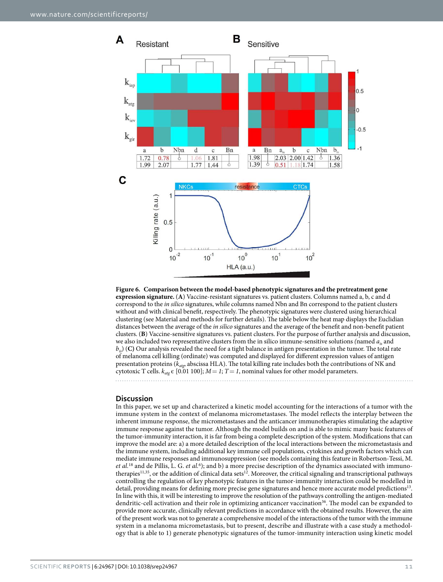

<span id="page-10-0"></span>**Figure 6. Comparison between the model-based phenotypic signatures and the pretreatment gene expression signature.** (**A**) Vaccine-resistant signatures vs. patient clusters. Columns named a, b, c and d correspond to the *in silico* signatures, while columns named Nbn and Bn correspond to the patient clusters without and with clinical benefit, respectively. The phenotypic signatures were clustered using hierarchical clustering (see Material and methods for further details). The table below the heat map displays the Euclidian distances between the average of the *in silico* signatures and the average of the benefit and non-benefit patient clusters. (**B**) Vaccine-sensitive signatures vs. patient clusters. For the purpose of further analysis and discussion, we also included two representative clusters from the in silico immune-sensitive solutions (named  $a_i$  and  $b_{i}$ ) (C) Our analysis revealed the need for a tight balance in antigen presentation in the tumor. The total rate of melanoma cell killing (ordinate) was computed and displayed for different expression values of antigen presentation proteins ( $k_{\text{atp}}$ , abscissa HLA). The total killing rate includes both the contributions of NK and cytotoxic T cells.  $k_{\text{atg}} \in [0.01 100]$ ;  $M = 1$ ; T = 1, nominal values for other model parameters.

### **Discussion**

In this paper, we set up and characterized a kinetic model accounting for the interactions of a tumor with the immune system in the context of melanoma micrometastases. The model reflects the interplay between the inherent immune response, the micrometastases and the anticancer immunotherapies stimulating the adaptive immune response against the tumor. Although the model builds on and is able to mimic many basic features of the tumor-immunity interaction, it is far from being a complete description of the system. Modifications that can improve the model are: a) a more detailed description of the local interactions between the micrometastasis and the immune system, including additional key immune cell populations, cytokines and growth factors which can mediate immune responses and immunosuppression (see models containing this feature in Robertson-Tessi, M. et al.<sup>[18](#page-12-17)</sup> and de Pillis, L. G. et al.<sup>[6](#page-12-4)</sup>); and b) a more precise description of the dynamics associated with immuno-therapies<sup>[11](#page-12-10)[,35](#page-13-2)</sup>, or the addition of clinical data sets<sup>[12](#page-12-11)</sup>. Moreover, the critical signaling and transcriptional pathways controlling the regulation of key phenotypic features in the tumor-immunity interaction could be modelled in detail, providing means for defining more precise gene signatures and hence more accurate model predictions<sup>[13](#page-12-12)</sup>. In line with this, it will be interesting to improve the resolution of the pathways controlling the antigen-mediated dendritic-cell activation and their role in optimizing anticancer vaccination<sup>[36](#page-13-3)</sup>. The model can be expanded to provide more accurate, clinically relevant predictions in accordance with the obtained results. However, the aim of the present work was not to generate a comprehensive model of the interactions of the tumor with the immune system in a melanoma micrometastasis, but to present, describe and illustrate with a case study a methodology that is able to 1) generate phenotypic signatures of the tumor-immunity interaction using kinetic model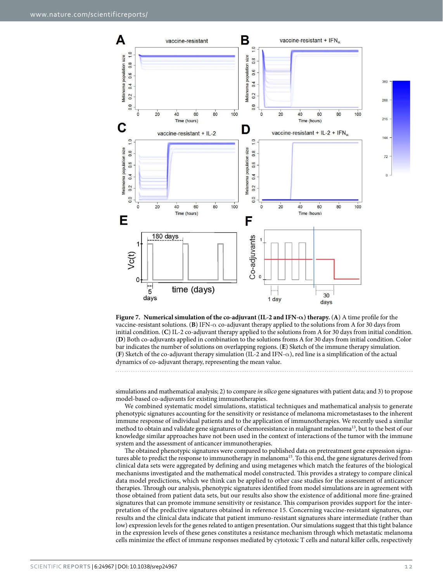

<span id="page-11-0"></span>**Figure 7. Numerical simulation of the co-adjuvant (IL-2 and IFN-α) therapy.** (**A**) A time profile for the vaccine-resistant solutions. **(B)** IFN- $\alpha$  co-adjuvant therapy applied to the solutions from A for 30 days from initial condition. (**C**) IL-2 co-adjuvant therapy applied to the solutions from A for 30 days from initial condition. (**D**) Both co-adjuvants applied in combination to the solutions froms A for 30 days from initial condition. Color bar indicates the number of solutions on overlapping regions. (**E**) Sketch of the immune therapy simulation. (**F**) Sketch of the co-adjuvant therapy simulation (IL-2 and IFN-α ), red line is a simplification of the actual dynamics of co-adjuvant therapy, representing the mean value.

simulations and mathematical analysis; 2) to compare in silico gene signatures with patient data; and 3) to propose model-based co-adjuvants for existing immunotherapies.

We combined systematic model simulations, statistical techniques and mathematical analysis to generate phenotypic signatures accounting for the sensitivity or resistance of melanoma micrometastases to the inherent immune response of individual patients and to the application of immunotherapies. We recently used a similar method to obtain and validate gene signatures of chemoresistance in malignant melanoma<sup>[13](#page-12-12)</sup>, but to the best of our knowledge similar approaches have not been used in the context of interactions of the tumor with the immune system and the assessment of anticancer immunotherapies.

The obtained phenotypic signatures were compared to published data on pretreatment gene expression signa-tures able to predict the response to immunotherapy in melanoma<sup>[15](#page-12-14)</sup>. To this end, the gene signatures derived from clinical data sets were aggregated by defining and using metagenes which match the features of the biological mechanisms investigated and the mathematical model constructed. This provides a strategy to compare clinical data model predictions, which we think can be applied to other case studies for the assessment of anticancer therapies. Through our analysis, phenotypic signatures identified from model simulations are in agreement with those obtained from patient data sets, but our results also show the existence of additional more fine-grained signatures that can promote immune sensitivity or resistance. This comparison provides support for the interpretation of the predictive signatures obtained in reference [15](#page-12-14). Concerning vaccine-resistant signatures, our results and the clinical data indicate that patient immuno-resistant signatures share intermediate (rather than low) expression levels for the genes related to antigen presentation. Our simulations suggest that this tight balance in the expression levels of these genes constitutes a resistance mechanism through which metastatic melanoma cells minimize the effect of immune responses mediated by cytotoxic T cells and natural killer cells, respectively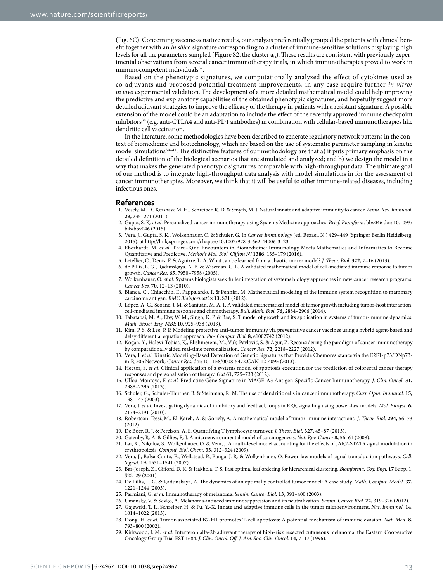([Fig. 6C](#page-10-0)). Concerning vaccine-sensitive results, our analysis preferentially grouped the patients with clinical benefit together with an in silico signature corresponding to a cluster of immune-sensitive solutions displaying high levels for all the parameters sampled (Figure S2, the cluster  $a_{is}$ ). These results are consistent with previously experimental observations from several cancer immunotherapy trials, in which immunotherapies proved to work in immunocompetent individuals<sup>[37](#page-13-4)</sup>.

Based on the phenotypic signatures, we computationally analyzed the effect of cytokines used as co-adjuvants and proposed potential treatment improvements, in any case require further in vitro/ in vivo experimental validation. The development of a more detailed mathematical model could help improving the predictive and explanatory capabilities of the obtained phenotypic signatures, and hopefully suggest more detailed adjuvant strategies to improve the efficacy of the therapy in patients with a resistant signature. A possible extension of the model could be an adaptation to include the effect of the recently approved immune checkpoint inhibitors<sup>[38](#page-13-5)</sup> (e.g. anti-CTLA4 and anti-PD1 antibodies) in combination with cellular-based immunotherapies like dendritic cell vaccination.

In the literature, some methodologies have been described to generate regulatory network patterns in the context of biomedicine and biotechnology, which are based on the use of systematic parameter sampling in kinetic model simulations<sup>39-41</sup>. The distinctive features of our methodology are that a) it puts primary emphasis on the detailed definition of the biological scenarios that are simulated and analyzed; and b) we design the model in a way that makes the generated phenotypic signatures comparable with high-throughput data. The ultimate goal of our method is to integrate high-throughput data analysis with model simulations in for the assessment of cancer immunotherapies. Moreover, we think that it will be useful to other immune-related diseases, including infectious ones.

#### **References**

- <span id="page-12-0"></span>1. Vesely, M. D., Kershaw, M. H., Schreiber, R. D. & Smyth, M. J. Natural innate and adaptive immunity to cancer. Annu. Rev. Immunol. **29,** 235–271 (2011).
- <span id="page-12-1"></span>2. Gupta, S. K. et al. Personalized cancer immunotherapy using Systems Medicine approaches. Brief. Bioinform. bbv046 doi: 10.1093/ bib/bbv046 (2015).
- <span id="page-12-2"></span>3. Vera, J., Gupta, S. K., Wolkenhauer, O. & Schuler, G. In Cancer Immunology (ed. Rezaei, N.) 429–449 (Springer Berlin Heidelberg, 2015). at [http://link.springer.com/chapter/10.1007/978-3-662-44006-3\\_23.](http://link.springer.com/chapter/10.1007/978-3-662-44006-3_23)
- <span id="page-12-3"></span>4. Eberhardt, M. et al. Third-Kind Encounters in Biomedicine: Immunology Meets Mathematics and Informatics to Become Quantitative and Predictive. Methods Mol. Biol. Clifton NJ **1386,** 135–179 (2016).
- <span id="page-12-8"></span>5. Letellier, C., Denis, F. & Aguirre, L. A. What can be learned from a chaotic cancer model? J. Theor. Biol. **322,** 7–16 (2013).
- <span id="page-12-4"></span>6. de Pillis, L. G., Radunskaya, A. E. & Wiseman, C. L. A validated mathematical model of cell-mediated immune response to tumor growth. Cancer Res. **65,** 7950–7958 (2005).
- <span id="page-12-5"></span>7. Wolkenhauer, O. et al. Systems biologists seek fuller integration of systems biology approaches in new cancer research programs. Cancer Res. **70,** 12–13 (2010).
- <span id="page-12-9"></span>8. Bianca, C., Chiacchio, F., Pappalardo, F. & Pennisi, M. Mathematical modeling of the immune system recognition to mammary carcinoma antigen. BMC Bioinformatics **13,** S21 (2012).
- <span id="page-12-6"></span>9. López, A. G., Seoane, J. M. & Sanjuán, M. A. F. A validated mathematical model of tumor growth including tumor-host interaction, cell-mediated immune response and chemotherapy. Bull. Math. Biol. **76,** 2884–2906 (2014).
- <span id="page-12-7"></span>10. Tabatabai, M. A., Eby, W. M., Singh, K. P. & Bae, S. T model of growth and its application in systems of tumor-immune dynamics. Math. Biosci. Eng. MBE **10,** 925–938 (2013).
- <span id="page-12-10"></span>11. Kim, P. S. & Lee, P. P. Modeling protective anti-tumor immunity via preventative cancer vaccines using a hybrid agent-based and delay differential equation approach. Plos Comput. Biol. **8,** e1002742 (2012).
- <span id="page-12-11"></span>12. Kogan, Y., Halevi-Tobias, K., Elishmereni, M., Vuk-Pavlović, S. & Agur, Z. Reconsidering the paradigm of cancer immunotherapy by computationally aided real-time personalization. Cancer Res. **72,** 2218–2227 (2012).
- <span id="page-12-12"></span>13. Vera, J. et al. Kinetic Modeling-Based Detection of Genetic Signatures that Provide Chemoresistance via the E2F1-p73/DNp73miR-205 Network. Cancer Res. doi: 10.1158/0008-5472.CAN-12-4095 (2013).
- <span id="page-12-13"></span>14. Hector, S. et al. Clinical application of a systems model of apoptosis execution for the prediction of colorectal cancer therapy responses and personalisation of therapy. Gut **61,** 725–733 (2012).
- <span id="page-12-14"></span>15. Ulloa-Montoya, F. et al. Predictive Gene Signature in MAGE-A3 Antigen-Specific Cancer Immunotherapy. J. Clin. Oncol. **31,** 2388–2395 (2013).
- <span id="page-12-15"></span>16. Schuler, G., Schuler-Thurner, B. & Steinman, R. M. The use of dendritic cells in cancer immunotherapy. Curr. Opin. Immunol. **15,** 138–147 (2003).
- <span id="page-12-16"></span>17. Vera, J. et al. Investigating dynamics of inhibitory and feedback loops in ERK signalling using power-law models. Mol. Biosyst. **6,** 2174–2191 (2010).
- <span id="page-12-17"></span>18. Robertson-Tessi, M., El-Kareh, A. & Goriely, A. A mathematical model of tumor-immune interactions. J. Theor. Biol. **294,** 56–73 (2012).
- <span id="page-12-19"></span><span id="page-12-18"></span>19. De Boer, R. J. & Perelson, A. S. Quantifying T lymphocyte turnover. J. Theor. Biol. **327,** 45–87 (2013).
- <span id="page-12-20"></span>20. Gatenby, R. A. & Gillies, R. J. A microenvironmental model of carcinogenesis. Nat. Rev. Cancer **8,** 56–61 (2008).
- 21. Lai, X., Nikolov, S., Wolkenhauer, O. & Vera, J. A multi-level model accounting for the effects of JAK2-STAT5 signal modulation in erythropoiesis. Comput. Biol. Chem. **33,** 312–324 (2009).
- <span id="page-12-21"></span>22. Vera, J., Balsa-Canto, E., Wellstead, P., Banga, J. R. & Wolkenhauer, O. Power-law models of signal transduction pathways. Cell. Signal. **19,** 1531–1541 (2007).
- <span id="page-12-22"></span>23. Bar-Joseph, Z., Gifford, D. K. & Jaakkola, T. S. Fast optimal leaf ordering for hierarchical clustering. Bioinforma. Oxf. Engl. **17** Suppl 1, S22–29 (2001).
- <span id="page-12-23"></span>24. De Pillis, L. G. & Radunskaya, A. The dynamics of an optimally controlled tumor model: A case study. Math. Comput. Model. **37,** 1221–1244 (2003).
- <span id="page-12-25"></span><span id="page-12-24"></span>25. Parmiani, G. et al. Immunotherapy of melanoma. Semin. Cancer Biol. **13,** 391–400 (2003).
- 26. Umansky, V. & Sevko, A. Melanoma-induced immunosuppression and its neutralization. Semin. Cancer Biol. **22,** 319–326 (2012).
- <span id="page-12-26"></span>27. Gajewski, T. F., Schreiber, H. & Fu, Y.-X. Innate and adaptive immune cells in the tumor microenvironment. Nat. Immunol. **14,** 1014–1022 (2013).
- <span id="page-12-27"></span>28. Dong, H. et al. Tumor-associated B7-H1 promotes T-cell apoptosis: A potential mechanism of immune evasion. Nat. Med. **8,** 793–800 (2002).
- <span id="page-12-28"></span>29. Kirkwood, J. M. et al. Interferon alfa-2b adjuvant therapy of high-risk resected cutaneous melanoma: the Eastern Cooperative Oncology Group Trial EST 1684. J. Clin. Oncol. Off. J. Am. Soc. Clin. Oncol. **14,** 7–17 (1996).